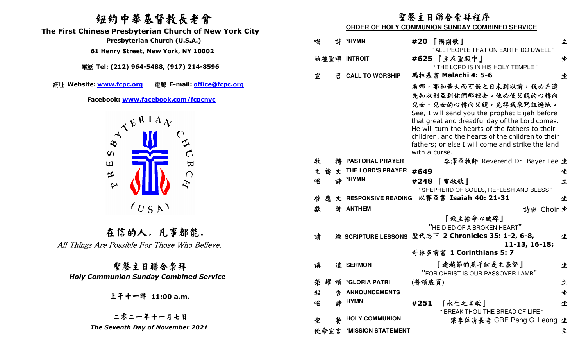## 紐約中華基督教長老會

 **The First Chinese Presbyterian Church of New York City** 

電話 **Tel: (212) 964-5488, (917) 214-8596** 

網址 **Website: www.fcpc.org** 電郵 **E-mail: office@fcpc.org**



在信的人, 凡事都能. All Things Are Possible For Those Who Believe.

聖餐主日聯合崇拜 *Holy Communion Sunday Combined Service* 

二零二一年十一月七日 *The Seventh Day of November 2021* 

### 聖餐主日聯合崇拜程序

#### **ORDER OF HOLY COMMUNION SUNDAY COMBINED SERVICE**

| Presbyterian Church (U.S.A.)                   | 唱 | 詩 | *HYMN                                       |               | #20 『稱謝歌』                                                                                         | 立 |
|------------------------------------------------|---|---|---------------------------------------------|---------------|---------------------------------------------------------------------------------------------------|---|
| 61 Henry Street, New York, NY 10002            |   |   |                                             |               | " ALL PEOPLE THAT ON EARTH DO DWELL "                                                             |   |
| 話 Tel: (212) 964-5488, (917) 214-8596          |   |   | 始禮聖頌 INTROIT                                |               | #625 【主在聖殿中】<br>" THE LORD IS IN HIS HOLY TEMPLE "                                                | 坐 |
|                                                | 宣 | 丒 | <b>CALL TO WORSHIP</b>                      |               | 瑪拉基書 Malachi 4: 5-6                                                                               | 坐 |
| te: www.fcpc.org<br>電郵 E-mail: office@fcpc.org |   |   |                                             |               | 看哪,耶和華大而可畏之日未到以前,我必差遣                                                                             |   |
|                                                |   |   |                                             |               | 先知以利亞到你們那裡去。他必使父親的心轉向                                                                             |   |
| Facebook: www.facebook.com/fcpcnyc             |   |   |                                             |               | 兒女,兒女的心轉向父親,免得我來咒詛遍地。                                                                             |   |
| ATERIAL                                        |   |   |                                             |               | See, I will send you the prophet Elijah before                                                    |   |
|                                                |   |   |                                             |               | that great and dreadful day of the Lord comes.<br>He will turn the hearts of the fathers to their |   |
|                                                |   |   |                                             |               | children, and the hearts of the children to their                                                 |   |
|                                                |   |   |                                             |               | fathers; or else I will come and strike the land                                                  |   |
| $\infty$                                       |   |   |                                             | with a curse. |                                                                                                   |   |
| $\overline{\mathbf{z}}$<br>$\mathbf \Xi$       | 牧 |   | 禱 PASTORAL PRAYER                           |               | 李澤華牧師 Reverend Dr. Bayer Lee 坐                                                                    |   |
| $\approx$<br>$\bigcap$                         |   |   | 主 禱 文 THE LORD'S PRAYER #649<br>詩 *HYMN     |               |                                                                                                   | 坐 |
| $\boldsymbol{\varphi}$                         | 唱 |   |                                             |               | #248 【靈牧歌】<br>" SHEPHERD OF SOULS, REFLESH AND BLESS "                                            | 立 |
|                                                | 啓 |   |                                             |               | 應文 RESPONSIVE READING 以賽亞書 Isaiah 40: 21-31                                                       | 坐 |
| (U S A)                                        | 獻 |   | 詩 ANTHEM                                    |               | 詩班 Choir 坐                                                                                        |   |
|                                                |   |   |                                             |               | 『救主捨命心破碎』                                                                                         |   |
|                                                |   |   |                                             |               | "HE DIED OF A BROKEN HEART"                                                                       |   |
| 在信的人,凡事都能.                                     | 讀 |   |                                             |               | 經 SCRIPTURE LESSONS 歷代志下 2 Chronicles 35: 1-2, 6-8,                                               | 坐 |
| rs Are Possible For Those Who Believe.         |   |   |                                             |               | $11-13, 16-18;$                                                                                   |   |
|                                                |   |   |                                             |               | 哥林多前書 1 Corinthians 5: 7                                                                          |   |
| 聖餐主日聯合崇拜                                       | 講 |   | 道 SERMON                                    |               | 『逾越節的羔羊就是主基督』                                                                                     | 坐 |
| <b>Communion Sunday Combined Service</b>       |   |   |                                             |               | "FOR CHRIST IS OUR PASSOVER LAMB"                                                                 |   |
|                                                |   |   | 榮耀頌 *GLORIA PATRI<br><b>4 ANNOUNCEMENTS</b> | (普頌底頁)        |                                                                                                   | 立 |
| 上子十一時 11:00 a.m.                               | 報 |   | 詩 HYMN                                      |               |                                                                                                   | 坐 |
|                                                | 唱 |   |                                             | #251          | 『永生之言歌』<br>" BREAK THOU THE BREAD OF LIFE "                                                       | 坐 |
| 二零二一年十一月七日                                     | 聖 | 馨 | <b>HOLY COMMUNION</b>                       |               | 梁李萍清長老 CRE Peng C. Leong 坐                                                                        |   |
| The Seventh Day of November 2021               |   |   | 使命宣言 *MISSION STATEMENT                     |               |                                                                                                   | 立 |
|                                                |   |   |                                             |               |                                                                                                   |   |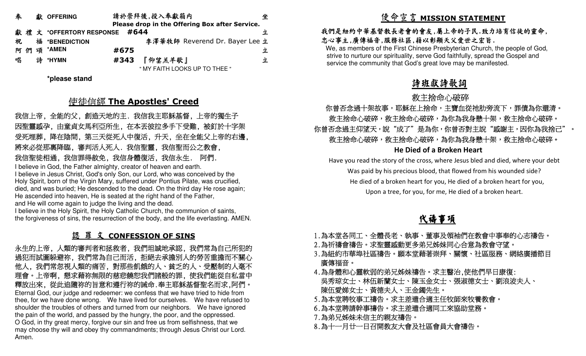| 奉  |   | 獻 OFFERING     |      | 請於崇拜後,投入奉獻箱内                                   | 坐 |
|----|---|----------------|------|------------------------------------------------|---|
|    |   |                |      | Please drop in the Offering Box after Service. |   |
|    |   |                |      |                                                |   |
| 祝  |   | 福 *BENEDICTION |      | 李澤華牧師 Reverend Dr. Bayer Lee 立                 |   |
| শি | 頌 | *AMEN          | #675 |                                                | 立 |
| 唱  | 誅 | *HYMN          | #343 | 『仰望羔羊歌』                                        | 立 |
|    |   |                |      | " MY FAITH LOOKS UP TO THEE "                  |   |

**\*please stand** 

# 使徒信經 **The Apostles' Creed**

 我信上帝, 全能的父, 創造天地的主. 我信我主耶穌基督, 上帝的獨生子 因聖靈感孕, 由童貞女馬利亞所生, 在本丟彼拉多手下受難, 被釘於十字架 受死埋葬, 降在陰間, 第三天從死人中復活, 升天, 坐在全能父上帝的右邊, 將來必從那裏降臨, 審判活人死人. 我信聖靈, 我信聖而公之教會, 我信聖徒相通, 我信罪得赦免, 我信身體復活, 我信永生. 阿們.

 I believe in God, the Father almighty, creator of heaven and earth. I believe in Jesus Christ, God's only Son, our Lord, who was conceived by the Holy Spirit, born of the Virgin Mary, suffered under Pontius Pilate, was crucified, died, and was buried; He descended to the dead. On the third day He rose again; He ascended into heaven, He is seated at the right hand of the Father, and He will come again to judge the living and the dead.

 I believe in the Holy Spirit, the Holy Catholic Church, the communion of saints, the forgiveness of sins, the resurrection of the body, and the life everlasting. AMEN.

### 認 罪 文 **CONFESSION OF SINS**

 永生的上帝, 人類的審判者和拯救者, 我們坦誠地承認, 我們常為自己所犯的 過犯而試圖躲避祢, 我們常為自己而活, 拒絕去承擔別人的勞苦重擔而不關心 他人, 我們常忽視人類的痛苦, 對那些飢餓的人、貧乏的人、受壓制的人毫不 理會。上帝啊, 懇求藉祢無限的慈悲饒恕我們諸般的罪, 使我們能從自私當中 釋放出來, 從此追隨祢的旨意和遵行祢的誡命.奉主耶穌基督聖名而求,阿們。 Eternal God, our judge and redeemer: we confess that we have tried to hide from thee, for we have done wrong. We have lived for ourselves. We have refused to shoulder the troubles of others and turned from our neighbors. We have ignored the pain of the world, and passed by the hungry, the poor, and the oppressed. O God, in thy great mercy, forgive our sin and free us from selfishness, that we may choose thy will and obey thy commandments; through Jesus Christ our Lord. Amen.

# 使命宣言 **MISSION STATEMENT**

#### 我們是紐約中華基督教長老會的會友,屬上帝的子民.致力培育信徒的靈命, 忠心事主,廣傳福音,服務社區,藉以彰顯天父愛世之宏旨.

 We, as members of the First Chinese Presbyterian Church, the people of God, strive to nurture our spirituality, serve God faithfully, spread the Gospel and service the community that God's great love may be manifested.

## 詩班獻詩歌詞

#### 主捨命心破碎 不过的 医心包 医心包 化乙基苯甲酸 化乙基苯甲酸 化乙基苯甲酸 化乙基苯甲酸

#### 你曾否念過十架故事,耶穌在上捨命,主寶血從祂肋旁流下,罪債為你還清。 救主捨命心破碎,救主捨命心破碎,為你為我身懸十架,救主捨命心破碎。 你曾否念過主仰望天,說"成了"是為你,你曾否對主說"感謝主,因你為我捨己"。 救主捨命心破碎,為你為我身懸十架,救主捨命心破碎。 **He Died of a Broken Heart**

Have you read the story of the cross, where Jesus bled and died, where your debt Was paid by his precious blood, that flowed from his wounded side? He died of a broken heart for you, He died of a broken heart for you, Upon a tree, for you, for me, He died of a broken heart.

#### **化学的**中心的 化学生的 化 禱事項

- 1.為本堂各同工、全體長老、執事、董事及領袖們在教會中事奉的心志禱告。
- 2.為祈禱會禱告。求聖靈感動更多弟兄姊妹同心合意為教會守望。
- 3.為紐約市華埠社區禱告。願本堂藉著崇拜、關懷、社區服務、網絡廣播節目 廣傳福音。
- 4.為身體和心靈軟弱的弟兄姊妹禱告。求主醫治,使他們早日康復: 吳秀琼女士、林伍新蘭女士、陳玉金女士、張淑德女士、劉浪波夫人、 陳伍愛娣女士、黃德夫人、王金鐲先生。
- 5.為本堂聘牧事工禱告。求主差遣合適主任牧師來牧養教會。
- 6.為本堂聘請幹事禱告。求主差遣合適同工來協助堂務。
- 7.為弟兄姊妹未信主的親友禱告。
- 8.為十一月廿一日召開教友大會及社區會員大會禱告。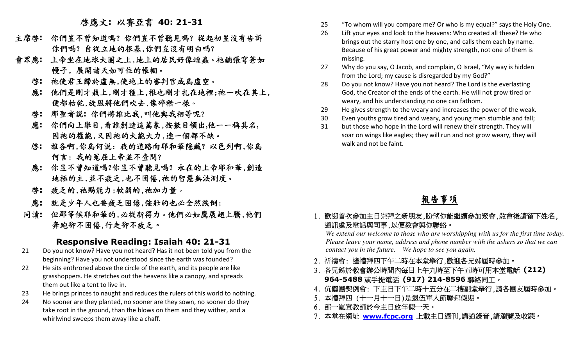# 啟應文**:** 以賽亞書 **40: 21-31**

- 主席啟**:** 你們豈不曾知道嗎?你們豈不曾聽見嗎?從起初豈沒有告訴你們嗎? 自從立地的根基,你們豈沒有明白嗎?
- 會眾應**:** 上帝坐在地球大圈之上,地上的居民好像蝗蟲。祂舖張穹蒼如 幔子, 展開諸天如可住的帳棚。
	- 啟**:** 祂使君王歸於虛無,使地上的審判官成為虛空。
- 應**:** 他們是剛才栽上,剛才種上,根也剛才扎在地裡;祂一吹在其上, 便都枯乾,旋風將他們吹去,像碎稭一樣。
	- 啟**:** 那聖者說**:** 你們將誰比我,叫他與我相等呢?
	- 應**:** 你們向上舉目,看誰創造這萬象,按數目領出**,**他一一稱其名**,** 因祂的權能,又因祂的大能大力,連一個都不缺。
- 啟**:** 雅各啊,你為何說: 我的道路向耶和華隱藏? 以色列啊,你為 何言: 我的冤屈上帝並不查問?
- 應**:** 你豈不曾知道嗎?你豈不曾聽見嗎? 永在的上帝耶和華,創造 地極的主,並不疲乏,也不困倦,祂的智慧無法測度。
	- 啟**:** 疲乏的,祂賜能力;軟弱的,祂加力量。
	- 應**:** 就是少年人也要疲乏困倦,強壯的也必全然跌倒;
	- 同讀**:** 但那等候耶和華的,必從新得力。他們必如鷹展翅上騰,他們 奔跑卻不困倦,行走卻不疲乏。

#### **Responsive Reading: Isaiah 40: 21-31**

- 21 Do you not know? Have you not heard? Has it not been told you from the beginning? Have you not understood since the earth was founded?
- 22 He sits enthroned above the circle of the earth, and its people are like grasshoppers. He stretches out the heavens like a canopy, and spreads them out like a tent to live in.
- 23 He brings princes to naught and reduces the rulers of this world to nothing.
- 24 No sooner are they planted, no sooner are they sown, no sooner do they take root in the ground, than the blows on them and they wither, and a whirlwind sweeps them away like a chaff.
- 25 "To whom will you compare me? Or who is my equal?" says the Holy One.
- 26 Lift your eyes and look to the heavens: Who created all these? He who brings out the starry host one by one, and calls them each by name. Because of his great power and mighty strength, not one of them is missing.
- 27 Why do you say, O Jacob, and complain, O Israel, "My way is hidden from the Lord; my cause is disregarded by my God?"
- 28 Do you not know? Have you not heard? The Lord is the everlasting God, the Creator of the ends of the earth. He will not grow tired or weary, and his understanding no one can fathom.
- 29 He gives strength to the weary and increases the power of the weak.
- 30 Even youths grow tired and weary, and young men stumble and fall;
- 31 but those who hope in the Lord will renew their strength. They will soar on wings like eagles; they will run and not grow weary, they will walk and not be faint.

## 報告事項

1. 歡迎首次參加主日崇拜之新朋友,盼望你能繼續參加聚會,散會後請留下姓名, 通訊處及電話與司事,以便教會與你聯絡。

  *We extend our welcome to those who are worshipping with us for the first time today. Please leave your name, address and phone number with the ushers so that we can contact you in the future. We hope to see you again.* 

- 2. 祈禱會: 逢禮拜四下午二時在本堂舉行,歡迎各兄姊屆時參加。
- 3. 各兄姊於教會辦公時間內每日上午九時至下午五時可用本堂電話 **(212) 964-5488**或手提電話 **(917) 214-8596**聯絡同工。
- 4. 伉儷團契例會: 下主日下午二時十五分在二樓副堂舉行,請各團友屆時參加。
- 5. 本禮拜四 (十一月十一日)是退伍軍人節聯邦假期。
- 6. 邵一嵐宣教師於今主日放年假一天。
- 7. 本堂在網址 **www.fcpc.org** 上載主日週刊,講道錄音,請瀏覽及收聽。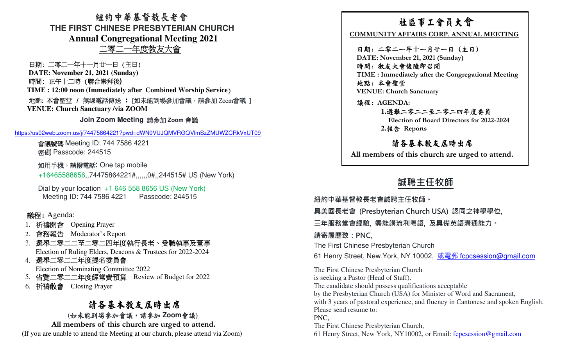紐約中華基督教長老會 **THE FIRST CHINESE PRESBYTERIAN CHURCHAnnual Congregational Meeting 2021**二零二一年度教友大會

日期: 二零二一年十一月廿一日 (主日)

**DATE: November 21, 2021 (Sunday)** 

時間: 正午十二時 (聯合崇拜後**)**

**TIME : 12:00 noon (Immediately after Combined Worship Service**) 地點: 本會聖堂 / 無線電話傳送 **:** [如未能到場參加會議,請參加|地點: 本會聖堂 / 無線電話傳送 : [如未能到場參加會議,請參加 Zoom會議 ]<br>VENUE: Church Sanctuary /via ZOOM **Church Sanctuary /via ZOOM** 

**Join Zoom Meeting** 請參加 **Zoom** 會議

https://us02web.zoom.us/j/74475864221?pwd=dWN0VUJQMVRGQVlmSzZMUWZCRkVxUT09

會議號碼 Meeting ID: 744 7586 4221<br>密碼 Basseede: 244515 密碼 Passcode: 244515

如用手機,請撥電話**:** One tap mobile

+16465588656,,74475864221#,,,,,,0#,,244515# US (New York)

Dial by your location +1 646 558 8656 US (New York)Meeting ID: 744 7586 4221 Passcode: 244515

#### 議程: Agenda:

1.祈禱開會 Opening Prayer<br>2. <del>命</del>致起 Moderator's Per

2. 會務報告 Moderator's Report<br>2. 選與一零二二<del>〇二零二</del>四午<del>所</del>

3. 選舉二零二二至二零二四年度執行長老、受職執事及董事Election of Ruling Elders, Deacons & Trustees for 2022-2024

4. 選舉二零二二年度提名委員會

Election of Nominating Committee 2022

- 5. 省覽二零二二年度經常費預算 Review of Budget for 2022
- 6. 祈禱散會 Closing Prayer

# 請各基本教友民時出席

(如未能到場參加會議,請參加 **Zoom會**議)<br>、ambare of this aburab are urged to at  **All members of this church are urged to attend.**  (If you are unable to attend the Meeting at our church, please attend via Zoom)

EFIRST CHINESE PRESS YTERIAN CHURCH<br>
Annual Comparignment of the 5 Text of the ST CHINESE PRESS YTERIAN CHURCH<br>  $\frac{W}{dt} = \frac{W}{dt} + \frac{W}{dt}$  or  $\frac{W}{dt} = \frac{W}{dt} + \frac{W}{dt}$  and  $\frac{W}{dt} = \frac{W}{dt} + \frac{W}{dt}$  and  $\frac{W}{dt} = \frac{W}{dt} + \frac$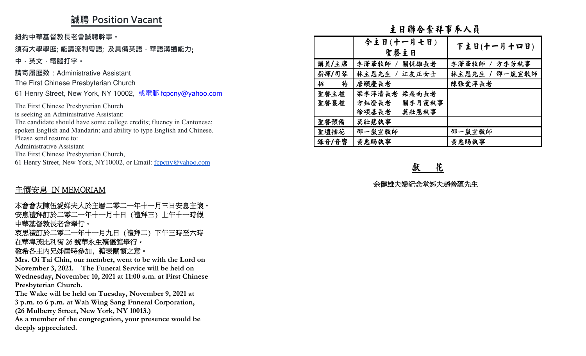## **誠聘 Position Vacant**

#### **須有大學學歷; 能講流利粵語; 及具備英語,華語溝通能力**;

### 主懷安息 IN MEMORIAM

#### 敬希各主內兄姊屆時參加, 藉表關懷之意。

|                                                                                                                 |        | 主日聯合崇拜事奉人員       |                |
|-----------------------------------------------------------------------------------------------------------------|--------|------------------|----------------|
| 紐約中華基督教長老會誠聘幹事。                                                                                                 |        | 今主日(十一月七日)       |                |
| 須有大學學歷; 能講流利粵語; 及具備英語 · 華語溝通能力;                                                                                 |        | 聖餐主日             | 下主日(十一月十四日)    |
| 中,英文,電腦打字。                                                                                                      | 講員/主席  | 李澤華牧師 /<br>關悦雄長老 | 李澤華牧師 / 方李芳執事  |
| 請寄履歷致:Administrative Assistant                                                                                  | 指揮/司琴  | 林主恩先生 /<br>江友正女士 | 林主恩先生 / 邵一嵐宣敎師 |
| The First Chinese Presbyterian Church                                                                           | 招<br>待 | 唐顯慶長老            | 陳張愛萍長老         |
| 61 Henry Street, New York, NY 10002, 或電郵 fcpcny@yahoo.com                                                       | 聖餐主禮   | 梁李萍清長老 梁桑南長老     |                |
| The First Chinese Presbyterian Church                                                                           | 聖餐襄禮   | 方鈺澄長老<br>關李月霞執事  |                |
| is seeking an Administrative Assistant:                                                                         |        | 徐頌基長老<br>莫壯慧執事   |                |
| The candidate should have some college credits; fluency in Cantonese;                                           | 聖餐預備   | 莫壯慧執事            |                |
| spoken English and Mandarin; and ability to type English and Chinese.                                           | 聖壇插花   | 邵一嵐宣教師           | 邵一嵐宣敎師         |
| Please send resume to:<br><b>Administrative Assistant</b>                                                       | 錄音/音響  | 黄惠賜執事            | 黄惠賜執事          |
| The First Chinese Presbyterian Church,                                                                          |        |                  |                |
| 61 Henry Street, New York, NY10002, or Email: fcpcny@yahoo.com                                                  |        |                  |                |
|                                                                                                                 |        | 花<br>獻           |                |
|                                                                                                                 |        | 余健雄夫婦紀念堂姊夫趙善蘊先生  |                |
| 主懷安息 IN MEMORIAM                                                                                                |        |                  |                |
| 本會會友陳伍愛娣夫人於主曆二零二一年十一月三日安息主懷。                                                                                    |        |                  |                |
| 安息禮拜訂於二零二一年十一月十日 (禮拜三) 上午十一時假                                                                                   |        |                  |                |
| 中華基督教長老會舉行。                                                                                                     |        |                  |                |
| 哀思禮訂於二零二一年十一月九日 (禮拜二) 下午三時至六時                                                                                   |        |                  |                |
| 在華埠茂比利街 26 號華永生殯儀館舉行。                                                                                           |        |                  |                |
| 敬希各主内兄姊屆時參加,藉表關懷之意。                                                                                             |        |                  |                |
| Mrs. Oi Tai Chin, our member, went to be with the Lord on                                                       |        |                  |                |
| November 3, 2021. The Funeral Service will be held on                                                           |        |                  |                |
| Wednesday, November 10, 2021 at 11:00 a.m. at First Chinese                                                     |        |                  |                |
| Presbyterian Church.                                                                                            |        |                  |                |
| The Wake will be held on Tuesday, November 9, 2021 at<br>3 p.m. to 6 p.m. at Wah Wing Sang Funeral Corporation, |        |                  |                |
| (26 Mulberry Street, New York, NY 10013.)                                                                       |        |                  |                |
| As a member of the congregation, your presence would be                                                         |        |                  |                |
| deeply appreciated.                                                                                             |        |                  |                |